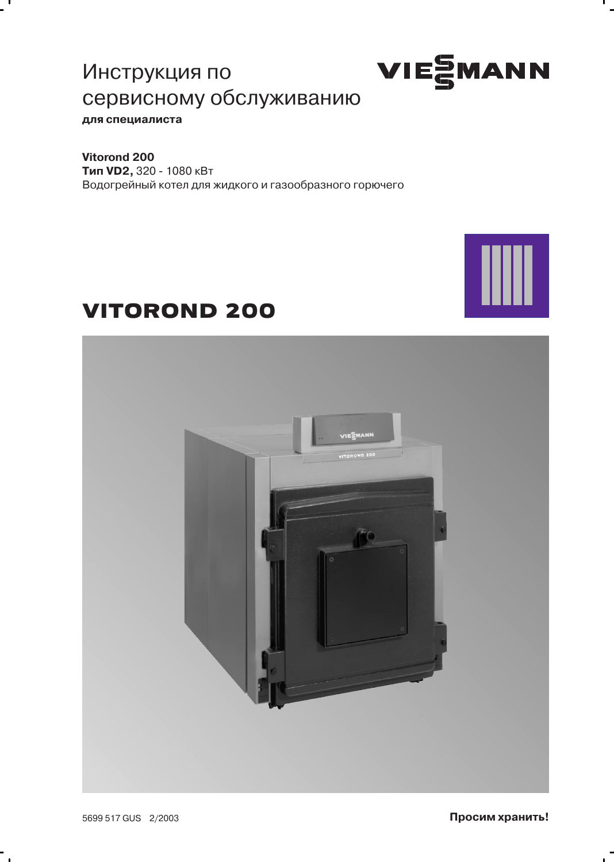# Инструкция по сервисному обслуживанию



для специалиста

Vitorond 200 Тип VD2, 320 - 1080 кВт Водогрейный котел для жидкого и газообразного горючего

# **VITOROND 200**



۰.

Просим хранить!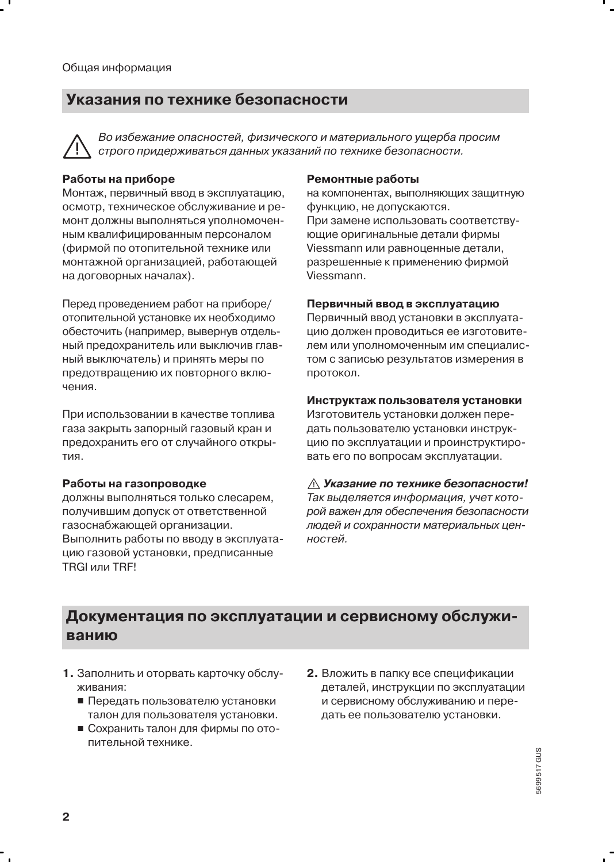# Указания по технике безопасности

Во избежание опасностей, физического и материального ушерба просим строго придерживаться данных указаний по технике безопасности.

#### Работы на приборе

Монтаж, первичный ввод в эксплуатацию, осмотр, техническое обслуживание и ре-МОНТ ДОЛЖНЫ ВЫПОЛНЯТЬСЯ УПОЛНОМОЧЕНным квалифицированным персоналом (фирмой по отопительной технике или монтажной организацией, работающей на договорных началах).

Перед проведением работ на приборе/ отопительной установке их необходимо обесточить (например, вывернув отдельный предохранитель или выключив главный выключатель) и принять меры по предотвращению их повторного включения.

При использовании в качестве топлива газа закрыть запорный газовый кран и предохранить его от случайного открытия.

#### Работы на газопроводке

должны выполняться только слесарем, получившим допуск от ответственной газоснабжающей организации. Выполнить работы по вводу в эксплуатацию газовой установки, предписанные TRGI или TRF!

#### Ремонтные работы

на компонентах, выполняющих защитную функцию, не допускаются. При замене использовать соответствующие оригинальные детали фирмы Viessmann или равноценные детали, разрешенные к применению фирмой Viessmann.

#### Первичный ввод в эксплуатацию

Первичный ввод установки в эксплуатацию должен проводиться ее изготовителем или уполномоченным им специалистом с записью результатов измерения в протокол.

#### Инструктаж пользователя установки

Изготовитель установки должен передать пользователю установки инструкцию по эксплуатации и проинструктировать его по вопросам эксплуатации.

#### ∧ Указание по технике безопасности!

Так выделяется информация, учет которой важен для обеспечения безопасности людей и сохранности материальных ценностей.

# Документация по эксплуатации и сервисному обслуживанию

- 1. Заполнить и оторвать карточку обслуживания:
	- Передать пользователю установки талон для пользователя установки.
	- Сохранить талон для фирмы по отопительной технике.
- 2. Вложить в папку все спецификации деталей, инструкции по эксплуатации и сервисному обслуживанию и передать ее пользователю установки.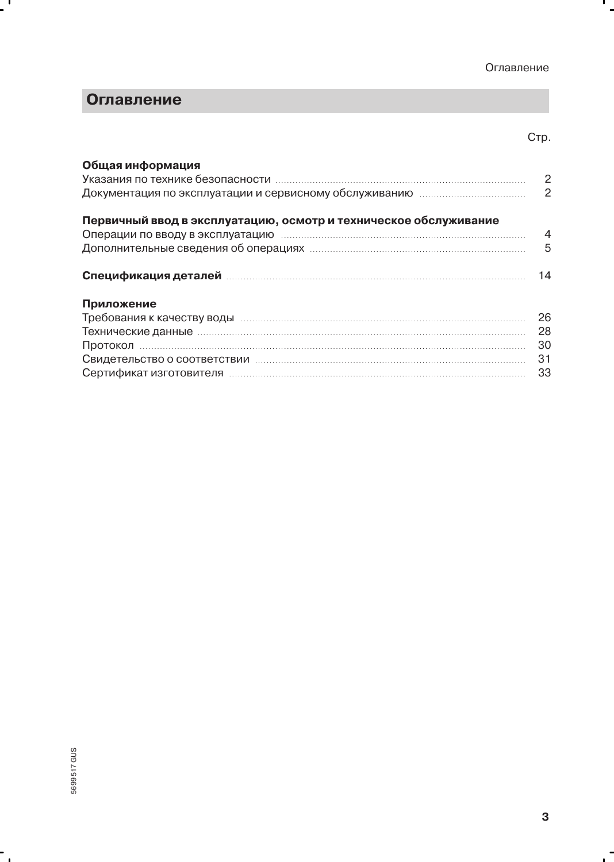#### Оглавление

### **Оглавление**

 $\overline{a}$ 

### C<sub>Tp</sub>.

Ξ.

| Общая информация                                                                                                |                |
|-----------------------------------------------------------------------------------------------------------------|----------------|
|                                                                                                                 |                |
| Документация по эксплуатации и сервисному обслуживанию попроводимо по траниция по эксплуатации с                | $\overline{2}$ |
| Первичный ввод в эксплуатацию, осмотр и техническое обслуживание                                                |                |
| Операции по вводу в эксплуатацию политической политической компьютерии и 4                                      |                |
|                                                                                                                 | 5              |
|                                                                                                                 | 14             |
| Приложение                                                                                                      |                |
| Требования к качеству воды поставленности положивательности положивания к качеству воды политической положивани | 26             |
|                                                                                                                 | 28             |
|                                                                                                                 | 30             |
|                                                                                                                 | -31            |
|                                                                                                                 | 33             |

 $\mathbb{R}^2$ 

 $\mathbf{r}$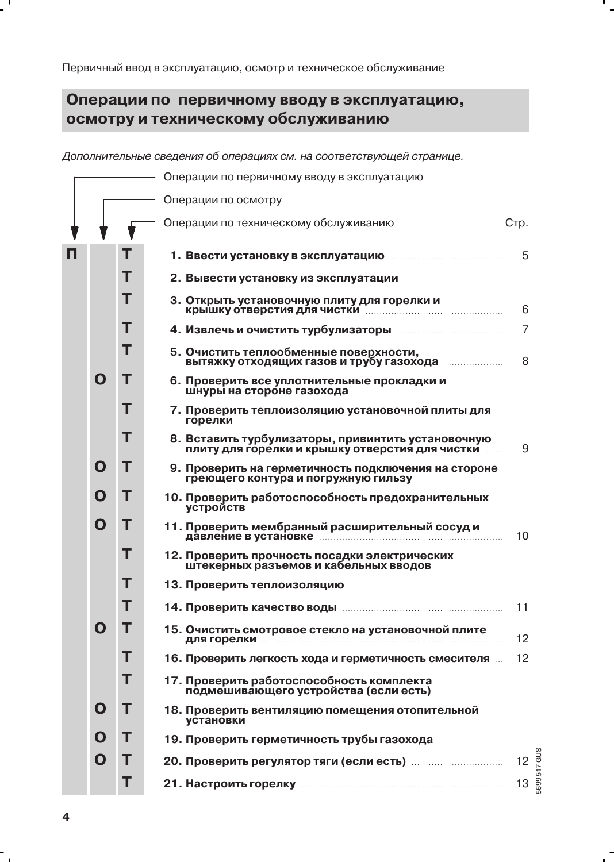### Операции по первичному вводу в эксплуатацию, осмотру и техническому обслуживанию

Дополнительные сведения об операциях см. на соответствующей странице.

|   |   | Операции по первичному вводу в эксплуатацию                                                                                                                         |                                                        |
|---|---|---------------------------------------------------------------------------------------------------------------------------------------------------------------------|--------------------------------------------------------|
|   |   | Операции по осмотру                                                                                                                                                 |                                                        |
|   |   | Операции по техническому обслуживанию                                                                                                                               | Стр.                                                   |
|   | т | 1. Ввести установку в эксплуатацию постанновности по конт                                                                                                           | 5                                                      |
|   | т | 2. Вывести установку из эксплуатации                                                                                                                                |                                                        |
|   | т | 3. Открыть установочную плиту для горелки и<br>крышку отверстия для чистки пособоженности по не при                                                                 | 6                                                      |
|   | т |                                                                                                                                                                     | 7                                                      |
|   | т | 5. Очистить теплообменные поверхности,<br>вытяжку отходящих газов и трубу газохода ………………                                                                           | 8                                                      |
| O | т | 6. Проверить все уплотнительные прокладки и<br>шнуры на стороне газохода                                                                                            |                                                        |
|   | Т | 7. Проверить теплоизоляцию установочной плиты для<br>горелки                                                                                                        |                                                        |
|   | Т | 8. Вставить турбулизаторы, привинтить установочную<br>плиту для горелки и крышку отверстия для чистки посо                                                          | 9                                                      |
| O | т | 9. Проверить на герметичность подключения на стороне<br>греющего контура и погружную гильзу                                                                         |                                                        |
| O | т | 10. Проверить работоспособность предохранительных<br>устройств                                                                                                      |                                                        |
| O | т | 11. Проверить мембранный расширительный сосуд и<br>давление в установке поставление и против по приняти и приняти и приняти и приняти и приняти и приняти и приняти | 10                                                     |
|   | т | 12. Проверить прочность посадки электрических<br>штекерных разъемов и кабельных вводов                                                                              |                                                        |
|   | т | 13. Проверить теплоизоляцию                                                                                                                                         |                                                        |
|   | т |                                                                                                                                                                     | 11                                                     |
| O | т | 15. Очистить смотровое стекло на установочной плите                                                                                                                 | 12                                                     |
|   | т | 16. Проверить легкость хода и герметичность смесителя                                                                                                               | 12                                                     |
|   | Т | 17. Проверить работоспособность комплекта<br>подмешивающего устройства (если есть)                                                                                  |                                                        |
| O | т | 18. Проверить вентиляцию помещения отопительной<br>установки                                                                                                        |                                                        |
| O | т | 19. Проверить герметичность трубы газохода                                                                                                                          |                                                        |
| O | т |                                                                                                                                                                     |                                                        |
|   | Т | 21. Настроить горелку последнивательно полности по таки и податки и податки и податки и податки и по                                                                | $12\frac{9}{10}$<br>$13\frac{6}{9}$<br>$90\frac{6}{9}$ |

H.

 $\sim$ 

 $\overline{ }$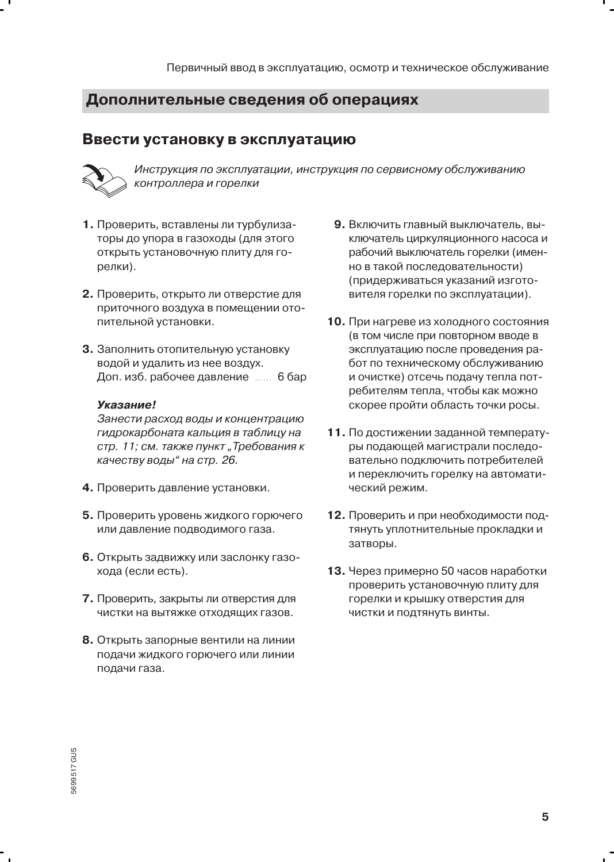### Дополнительные сведения об операциях

### Ввести установку в эксплуатацию



Инструкция по эксплуатации, инструкция по сервисному обслуживанию контроллера и горелки

- 1. Проверить, вставлены ли турбулизаторы до упора в газоходы (для этого открыть установочную плиту для горелки).
- 2. Проверить, открыто ли отверстие для приточного воздуха в помещении отопительной установки.
- 3. Заполнить отопительную установку водой и удалить из нее воздух. Доп. изб. рабочее давление ...... 6 бар

#### Указание!

Занести расход воды и концентрацию гидрокарбоната кальция в таблицу на стр. 11; см. также пункт "Требования к качеству воды" на стр. 26.

- 4. Проверить давление установки.
- 5. Проверить уровень жидкого горючего или давление подводимого газа.
- 6. Открыть задвижку или заслонку газохода (если есть).
- 7. Проверить, закрыты ли отверстия для чистки на вытяжке отходящих газов.
- 8. Открыть запорные вентили на линии подачи жидкого горючего или линии подачи газа.
- 9. Включить главный выключатель, выключатель циркуляционного насоса и рабочий выключатель горелки (именно в такой последовательности) (придерживаться указаний изготовителя горелки по эксплуатации).
- 10. При нагреве из холодного состояния (в том числе при повторном вводе в эксплуатацию после проведения работ по техническому обслуживанию и очистке) отсечь подачу тепла потребителям тепла, чтобы как можно скорее пройти область точки росы.
- 11. По достижении заданной температуры подающей магистрали последовательно подключить потребителей и переключить горелку на автоматический режим.
- 12. Проверить и при необходимости подтянуть уплотнительные прокладки и затворы.
- 13. Через примерно 50 часов наработки проверить установочную плиту для горелки и крышку отверстия для чистки и подтянуть винты.

5699 517 GUS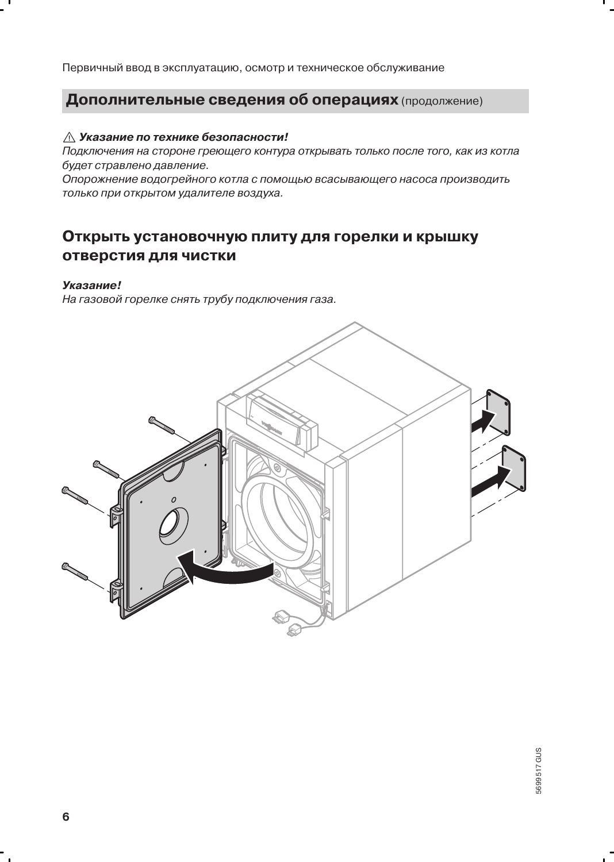# Дополнительные сведения об операциях (продолжение)

#### ∧ Указание по технике безопасности!

Подключения на стороне греющего контура открывать только после того, как из котла будет стравлено давление.

Опорожнение водогрейного котла с помощью всасывающего насоса производить только при открытом удалителе воздуха.

# Открыть установочную плиту для горелки и крышку отверстия для чистки

#### **Указание!**

На газовой горелке снять трубу подключения газа.

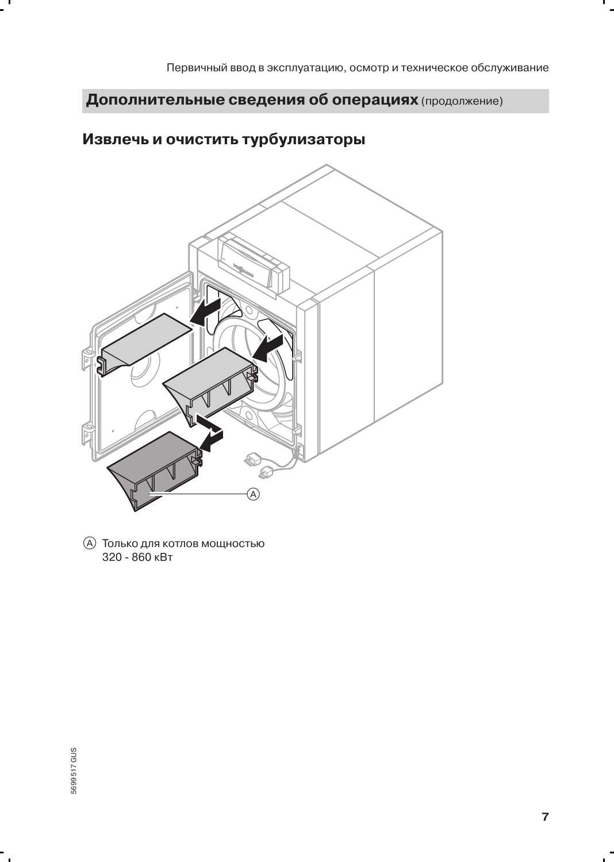# Дополнительные сведения об операциях (продолжение)

# Извлечь и очистить турбулизаторы



**(A) Только для котлов мощностью** 320 - 860 KBT

5699 517 GUS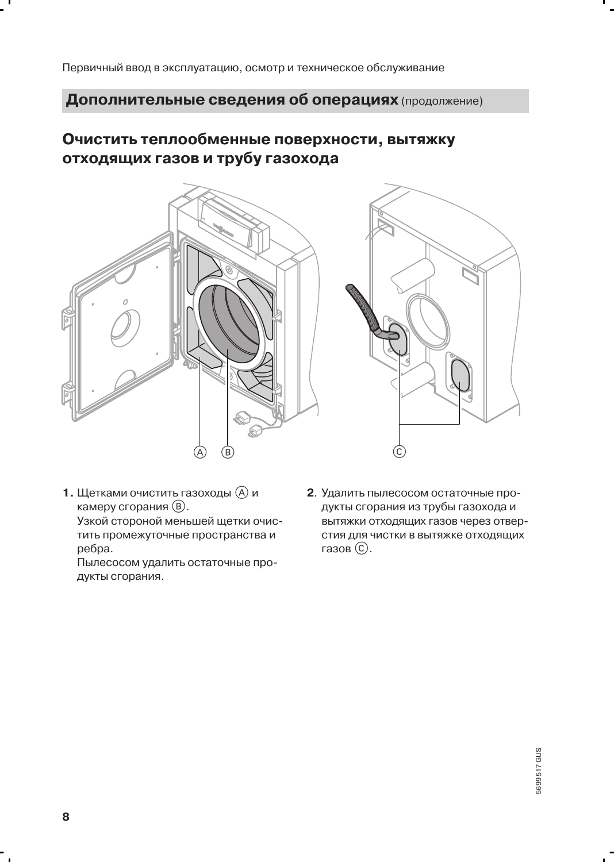# Дополнительные сведения об операциях (продолжение)

# Очистить теплообменные поверхности, вытяжку отходящих газов и трубу газохода





1. Щетками очистить газоходы (А) и камеру сгорания (B).

Узкой стороной меньшей щетки очистить промежуточные пространства и ребра.

Пылесосом удалить остаточные продукты сгорания.

2. Удалить пылесосом остаточные продукты сгорания из трубы газохода и вытяжки отходящих газов через отверстия для чистки в вытяжке отходящих газов (С).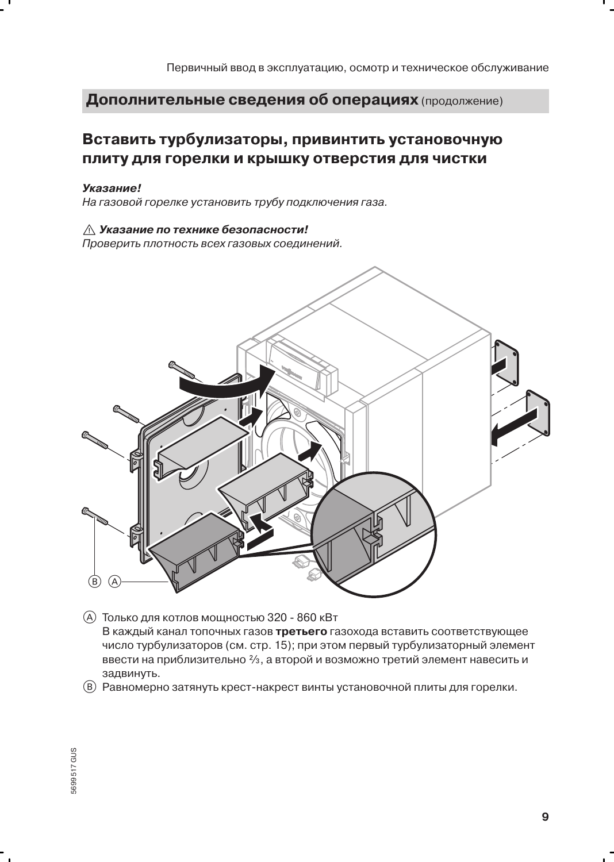### Дополнительные сведения об операциях (продолжение)

# Вставить турбулизаторы, привинтить установочную плиту для горелки и крышку отверстия для чистки

#### $V<sub>K</sub>339H<sub>M</sub>ol$

На газовой горелке установить трубу подключения газа.

#### ∧ Указание по технике безопасности!

Проверить плотность всех газовых соединений.



- (A) Только для котлов мощностью 320 860 кВт В каждый канал топочных газов третьего газохода вставить соответствующее число турбулизаторов (см. стр. 15); при этом первый турбулизаторный элемент ввести на приблизительно  $\frac{2}{3}$ , а второй и возможно третий элемент навесить и задвинуть.
- (В) Равномерно затянуть крест-накрест винты установочной плиты для горелки.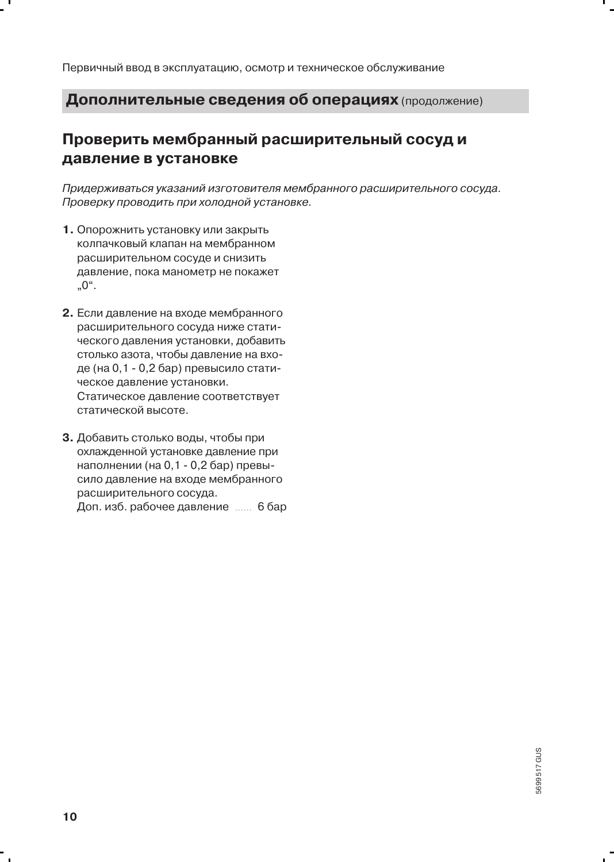### Дополнительные сведения об операциях (продолжение)

# Проверить мембранный расширительный сосуд и давление в установке

Придерживаться указаний изготовителя мембранного расширительного сосуда. Проверку проводить при холодной установке.

- 1. Опорожнить установку или закрыть колпачковый клапан на мембранном расширительном сосуде и снизить давление, пока манометр не покажет  $.0^\circ$ .
- 2. Если давление на входе мембранного расширительного сосуда ниже статического давления установки, добавить столько азота, чтобы давление на входе (на 0,1 - 0,2 бар) превысило статическое давление установки. Статическое давление соответствует статической высоте.
- 3. Добавить столько воды, чтобы при охлажденной установке давление при наполнении (на 0,1 - 0,2 бар) превысило давление на входе мембранного расширительного сосуда. Доп. изб. рабочее давление ...... 6 бар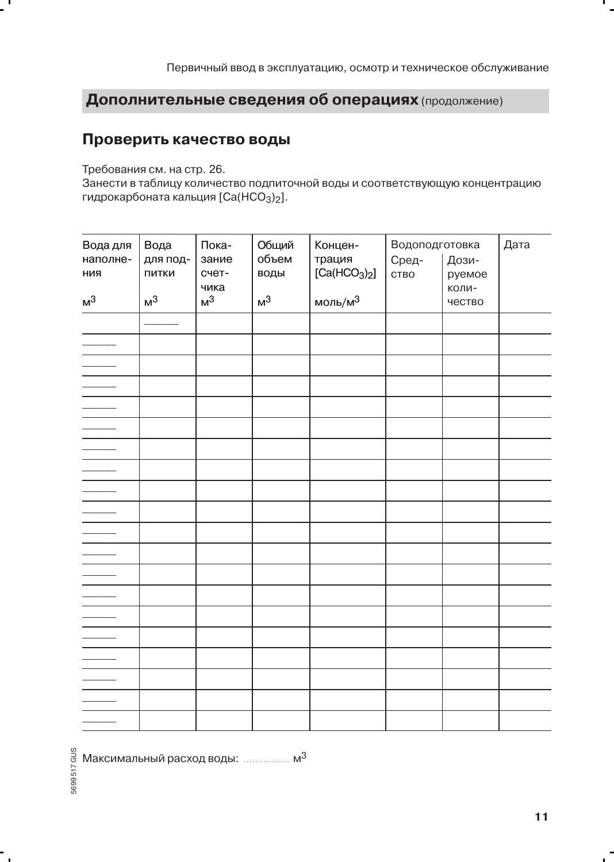# Дополнительные сведения об операциях (продолжение)

### Проверить качество воды

Требования см. на стр. 26.

- 1

Занести в таблицу количество подпиточной воды и соответствующую концентрацию гидрокарбоната кальция [Са(НСО<sub>3</sub>)<sub>2</sub>].

| Вода для<br>наполне-<br>ния<br>M <sup>3</sup> | Вода<br>для под-<br>ПИТКИ<br>M <sup>3</sup> | Пока-<br>зание<br>счет-<br>чика<br>M <sup>3</sup> | Общий<br>объем<br>воды<br>M <sup>3</sup> | Концен-<br>трация<br>[Ca(HCO <sub>3</sub> ) <sub>2</sub> ]<br>моль/м $3$ | Водоподготовка<br>Сред-<br>CTBO | Дози-<br>руемое<br>коли-<br>чество | Дата |
|-----------------------------------------------|---------------------------------------------|---------------------------------------------------|------------------------------------------|--------------------------------------------------------------------------|---------------------------------|------------------------------------|------|
|                                               |                                             |                                                   |                                          |                                                                          |                                 |                                    |      |
|                                               |                                             |                                                   |                                          |                                                                          |                                 |                                    |      |
|                                               |                                             |                                                   |                                          |                                                                          |                                 |                                    |      |
|                                               |                                             |                                                   |                                          |                                                                          |                                 |                                    |      |
| $\overline{\phantom{a}}$                      |                                             |                                                   |                                          |                                                                          |                                 |                                    |      |
|                                               |                                             |                                                   |                                          |                                                                          |                                 |                                    |      |
|                                               |                                             |                                                   |                                          |                                                                          |                                 |                                    |      |
|                                               |                                             |                                                   |                                          |                                                                          |                                 |                                    |      |
|                                               |                                             |                                                   |                                          |                                                                          |                                 |                                    |      |
|                                               |                                             |                                                   |                                          |                                                                          |                                 |                                    |      |
|                                               |                                             |                                                   |                                          |                                                                          |                                 |                                    |      |
|                                               |                                             |                                                   |                                          |                                                                          |                                 |                                    |      |
|                                               |                                             |                                                   |                                          |                                                                          |                                 |                                    |      |
|                                               |                                             |                                                   |                                          |                                                                          |                                 |                                    |      |
|                                               |                                             |                                                   |                                          |                                                                          |                                 |                                    |      |
|                                               |                                             |                                                   |                                          |                                                                          |                                 |                                    |      |
|                                               |                                             |                                                   |                                          |                                                                          |                                 |                                    |      |
|                                               |                                             |                                                   |                                          |                                                                          |                                 |                                    |      |
| $\overline{\phantom{a}}$                      |                                             |                                                   |                                          |                                                                          |                                 |                                    |      |
|                                               |                                             |                                                   |                                          |                                                                          |                                 |                                    |      |

 $^{9}_{6}$  Максимальный расход воды: .................. м<sup>3</sup><br>}-<br><sub>\$8</sub><br>\$8

п.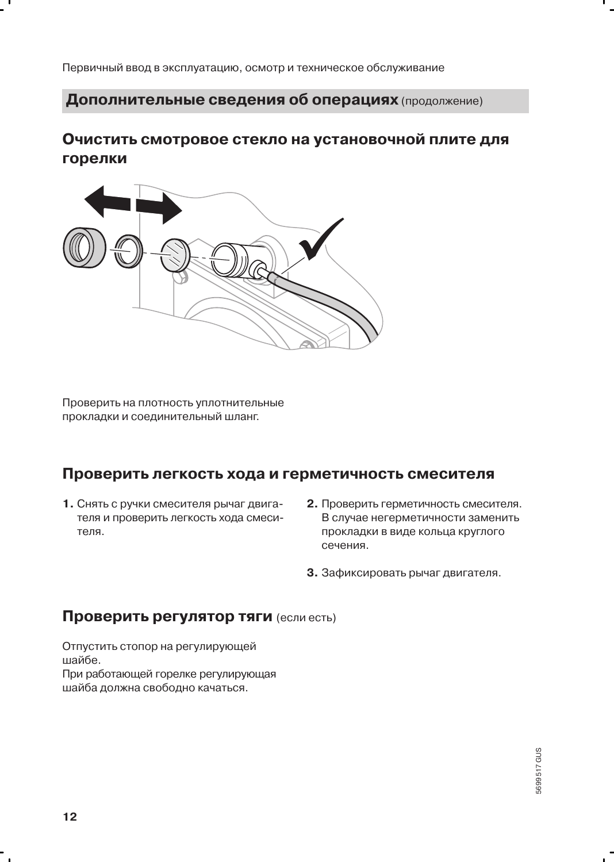Дополнительные сведения об операциях (продолжение)

### Очистить смотровое стекло на установочной плите для горелки



Проверить на плотность уплотнительные прокладки и соединительный шланг.

### Проверить легкость хода и герметичность смесителя

- 1. Снять с ручки смесителя рычаг двигателя и проверить легкость хода смесителя.
- 2. Проверить герметичность смесителя. В случае негерметичности заменить прокладки в виде кольца круглого сечения.
- 3. Зафиксировать рычаг двигателя.

### Проверить регулятор тяги (если есть)

Отпустить стопор на регулирующей шайбе. При работающей горелке регулирующая шайба должна свободно качаться.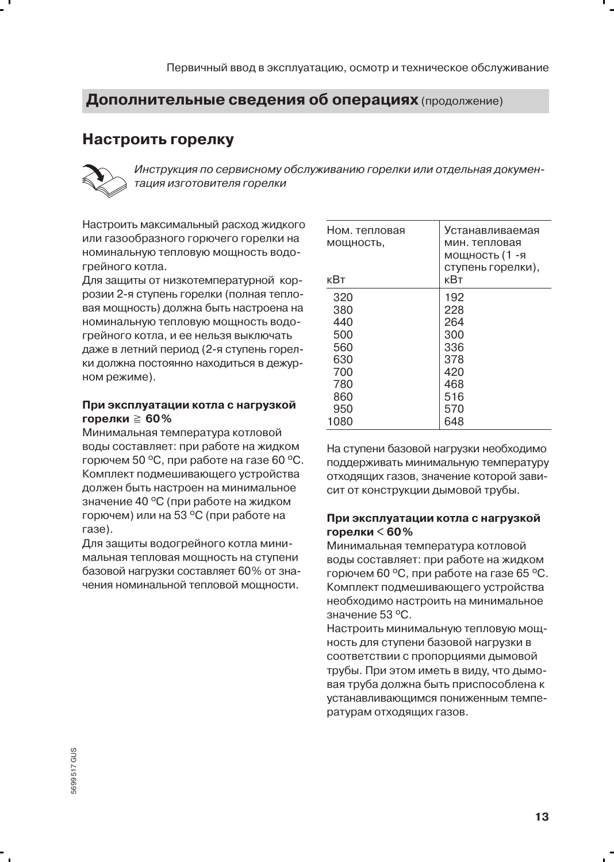### Дополнительные сведения об операциях (продолжение)

### Настроить горелку



Инструкция по сервисному обслуживанию горелки или отдельная документация изготовителя горелки

Настроить максимальный расход жидкого или газообразного горючего горелки на номинальную тепловую мощность водогрейного котла.

Для защиты от низкотемпературной коррозии 2-я ступень горелки (полная тепловая мощность) должна быть настроена на номинальную тепловую мощность водогрейного котла, и ее нельзя выключать даже в летний период (2-я ступень горелки должна постоянно находиться в дежурном режиме).

#### При эксплуатации котла с нагрузкой горелки ≧ 60%

Минимальная температура котловой воды составляет: при работе на жидком горючем 50 °С, при работе на газе 60 °С. Комплект подмешивающего устройства должен быть настроен на минимальное значение 40 °С (при работе на жидком горючем) или на 53 °С (при работе на газе).

Для защиты водогрейного котла минимальная тепловая мощность на ступени базовой нагрузки составляет 60% от значения номинальной тепловой мошности.

| Ном. тепловая<br>мощность,<br>кВт | Устанавливаемая<br>мин. тепловая<br>мощность (1 -я<br>ступень горелки),<br>кВт |
|-----------------------------------|--------------------------------------------------------------------------------|
| 320                               | 192                                                                            |
| 380                               | 228                                                                            |
| 440                               | 264                                                                            |
| 500                               | 300                                                                            |
| 560                               | 336                                                                            |
| 630                               | 378                                                                            |
| 700                               | 420                                                                            |
| 780                               | 468                                                                            |
| 860                               | 516                                                                            |
| 950                               | 570                                                                            |
| 1080                              | 648                                                                            |

На ступени базовой нагрузки необходимо поддерживать минимальную температуру отходящих газов, значение которой зависит от конструкции дымовой трубы.

#### При эксплуатации котла с нагрузкой горелки < 60%

Минимальная температура котловой воды составляет: при работе на жидком горючем 60 °С, при работе на газе 65 °С. Комплект подмешивающего устройства необходимо настроить на минимальное значение 53 °C.

Настроить минимальную тепловую мощность для ступени базовой нагрузки в соответствии с пропорциями дымовой трубы. При этом иметь в виду, что дымовая труба должна быть приспособлена к устанавливающимся пониженным температурам отходящих газов.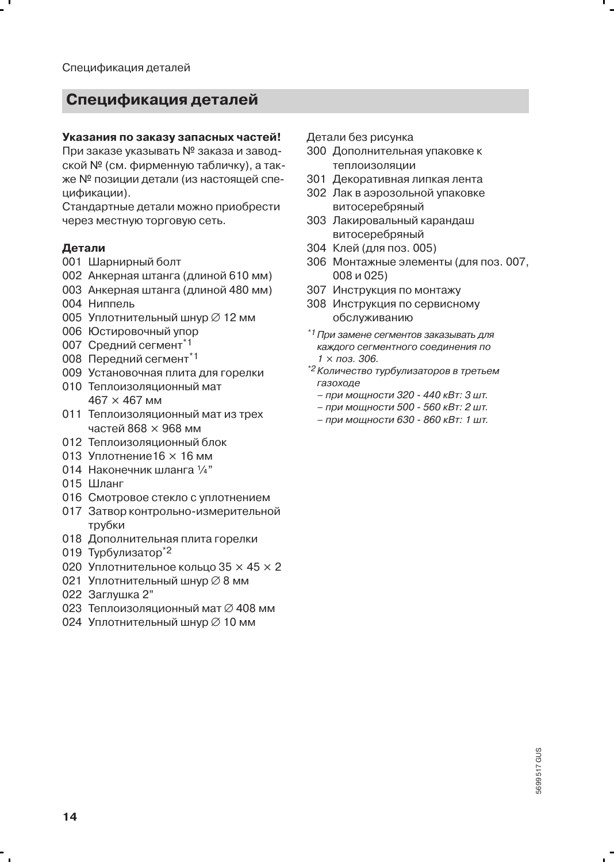### Спецификация деталей

#### Указания по заказу запасных частей!

При заказе указывать № заказа и заводской № (см. фирменную табличку), а также № позиции детали (из настоящей спецификации).

Стандартные детали можно приобрести через местную торговую сеть.

#### Детали

- 001 Шарнирный болт
- 002 Анкерная штанга (длиной 610 мм)
- 003 Анкерная штанга (длиной 480 мм)
- 004 Ниппель
- 005 Уплотнительный шнур Ø 12 мм
- 006 Юстировочный упор
- 007 Средний сегмент<sup>\*1</sup>
- 008 Передний сегмент<sup>\*1</sup>
- 009 Установочная плита для горелки
- 010 Теплоизоляционный мат  $467 \times 467$  MM
- 011 Теплоизоляционный мат из трех частей 868 × 968 мм
- 012 Теплоизоляционный блок
- 013 Уплотнение16 х 16 мм
- 014 Наконечник шланга 1/4"
- 015 Шланг
- 016 Смотровое стекло с уплотнением
- 017 Затвор контрольно-измерительной трубки
- 018 Дополнительная плита горелки
- 019 Турбулизатор\*2
- 020 Уплотнительное кольцо 35 х 45 х 2
- 021 Уплотнительный шнур ∅ 8 мм
- 022 Заглушка 2"
- 023 Теплоизоляционный мат Ø 408 мм
- 024 Уплотнительный шнур Ø 10 мм

#### Детали без рисунка

- 300 Дополнительная упаковке к теплоизоляции
- 301 Декоративная липкая лента
- 302 Лак в аэрозольной упаковке витосеребряный
- 303 Лакировальный карандаш витосеребряный
- 304 Клей (для поз. 005)
- 306 Монтажные элементы (для поз. 007,  $008 \mu 025$
- 307 Инструкция по монтажу
- 308 Инструкция по сервисному обслуживанию
- \*1 При замене сегментов заказывать для каждого сегментного соединения по  $1 \times \pi$ оз. 306.
- \*<sup>2</sup> Количество турбулизаторов в третьем газоходе
	- при мощности 320 440 кВт: 3 шт.
	- при мощности 500 560 кВт: 2 шт.
	- при мощности 630 860 кВт: 1 шт.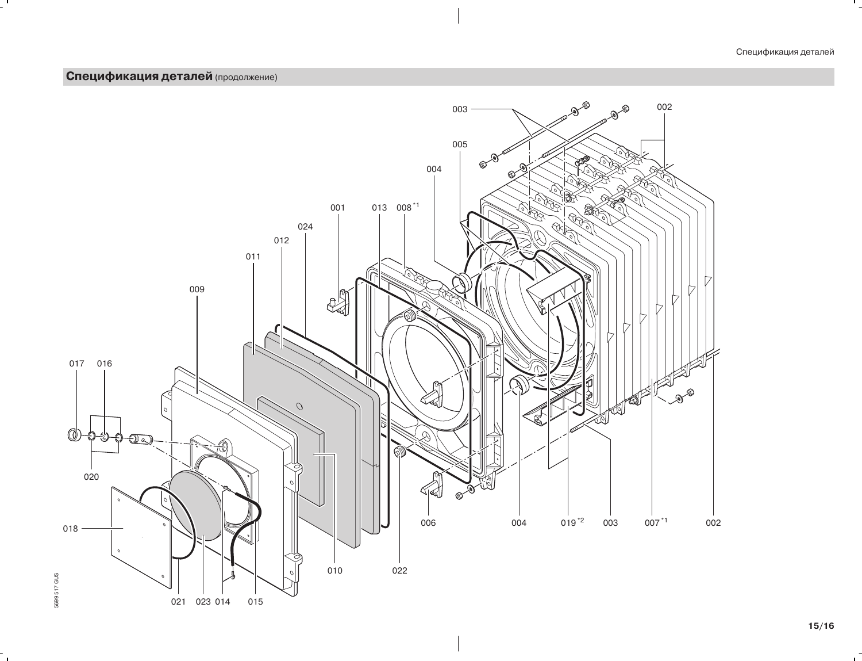

 $15/16$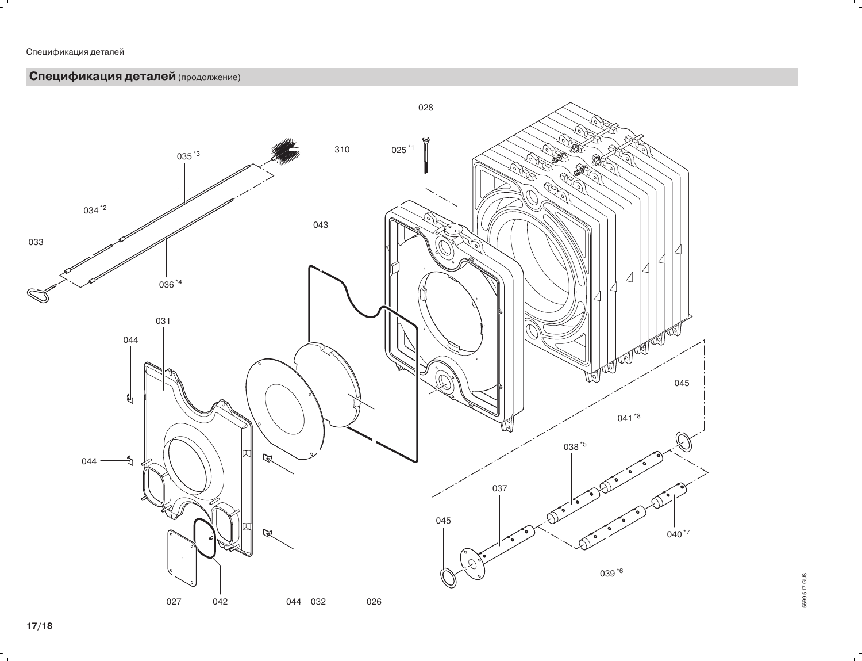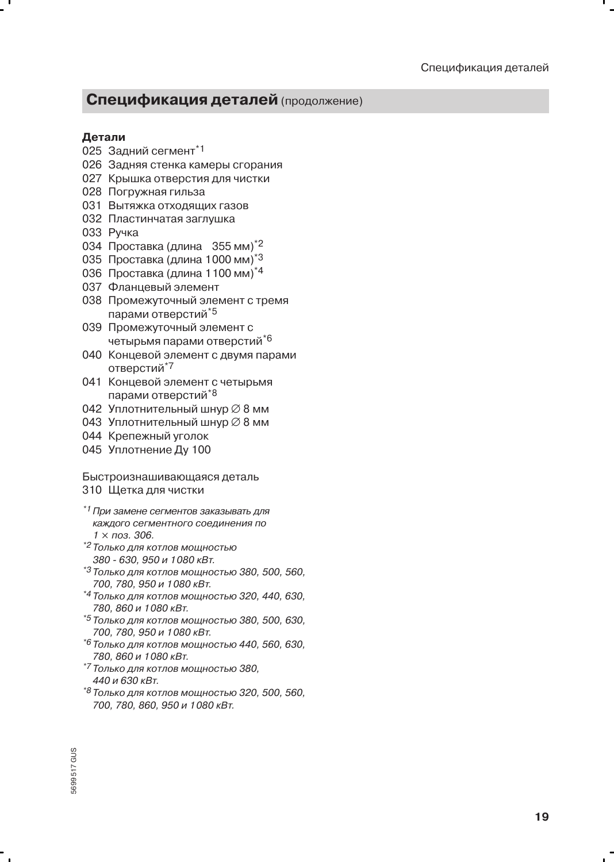#### Детали

- 025 Задний сегмент<sup>\*1</sup>
- 026 Задняя стенка камеры сгорания
- 027 Крышка отверстия для чистки
- 028 Погружная гильза
- 031 Вытяжка отходящих газов
- 032 Пластинчатая заглушка
- 033 Ручка
- 034 Проставка (длина 355 мм)<sup>\*2</sup>
- 035 Проставка (длина 1000 мм)<sup>\*3</sup>
- 036 Проставка (длина 1100 мм)<sup>\*4</sup>
- 037 Фланцевый элемент
- 038 Промежуточный элемент с тремя парами отверстий\*5
- 039 Промежуточный элемент с четырьмя парами отверстий<sup>\*6</sup>
- 040 Концевой элемент с двумя парами отверстий\*7
- 041 Концевой элемент с четырьмя парами отверстий\*8
- 042 Уплотнительный шнур Ø 8 мм
- 043 Уплотнительный шнур Ø 8 мм
- 044 Крепежный уголок
- 045 Уплотнение Ду 100

#### Быстроизнашивающаяся деталь

- 310 Щетка для чистки
- \*<sup>1</sup> При замене сегментов заказывать для каждого сегментного соединения по  $1 \times \pi$ оз. 306.
- \*2 Только для котлов мошностью 380 - 630, 950 и 1080 кВт.
- \*<sup>3</sup> Только для котлов мощностью 380, 500, 560, 700. 780. 950 и 1080 кВт.
- $*$ 4 Только для котлов мощностью 320, 440, 630, 780. 860 и 1080 кВт.
- \*5 Только для котлов мощностью 380, 500, 630, 700, 780, 950 и 1080 кВт.
- \*6 Только для котлов мощностью 440, 560, 630, 780, 860 и 1080 кВт.
- \*7 Только для котлов мощностью 380, 440 и 630 кВт.
- \*8 Только для котлов мощностью 320, 500, 560, 700, 780, 860, 950 и 1080 кВт.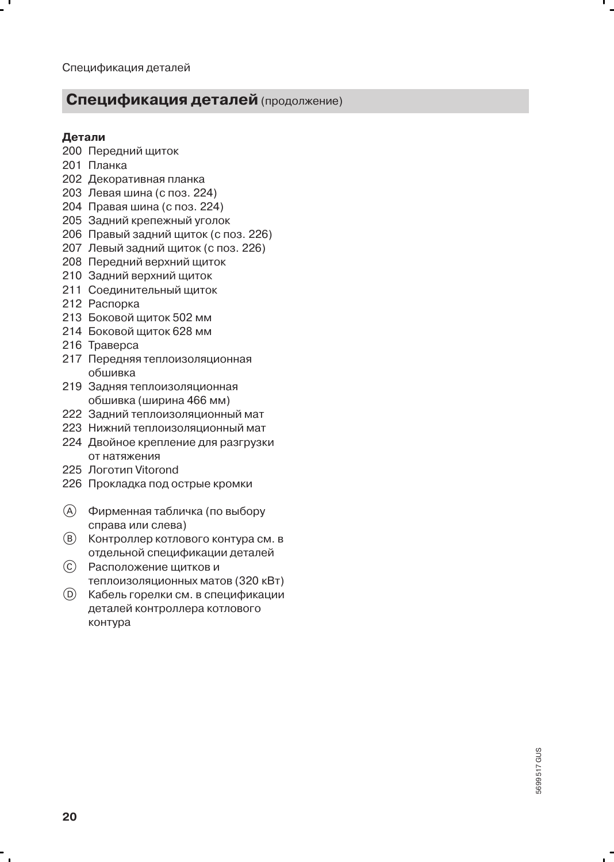#### Детали

- 200 Передний шиток
- 201 Планка
- 202 Декоративная планка
- 203 Левая шина (с поз. 224)
- 204 Правая шина (с поз. 224)
- 205 Залний крепежный уголок
- 206 Правый задний щиток (с поз. 226)
- 207 Левый задний щиток (с поз. 226)
- 208 Передний верхний щиток
- 210 Задний верхний щиток
- 211 Соединительный щиток
- 212 Распорка
- 213 Боковой шиток 502 мм
- 214 Боковой щиток 628 мм
- 216 Траверса
- 217 Передняя теплоизоляционная обшивка
- 219 Задняя теплоизоляционная обшивка (ширина 466 мм)
- 222 Задний теплоизоляционный мат
- 223 Нижний теплоизоляционный мат
- 224 Двойное крепление для разгрузки от натяжения
- 225 Логотип Vitorond
- 226 Прокладка под острые кромки
- (A) Фирменная табличка (по выбору справа или слева)
- (B) Контроллер котлового контура см. в отдельной спецификации деталей
- © Расположение щитков и теплоизоляционных матов (320 кВт)
- **(D)** Кабель горелки см. в спецификации деталей контроллера котлового контура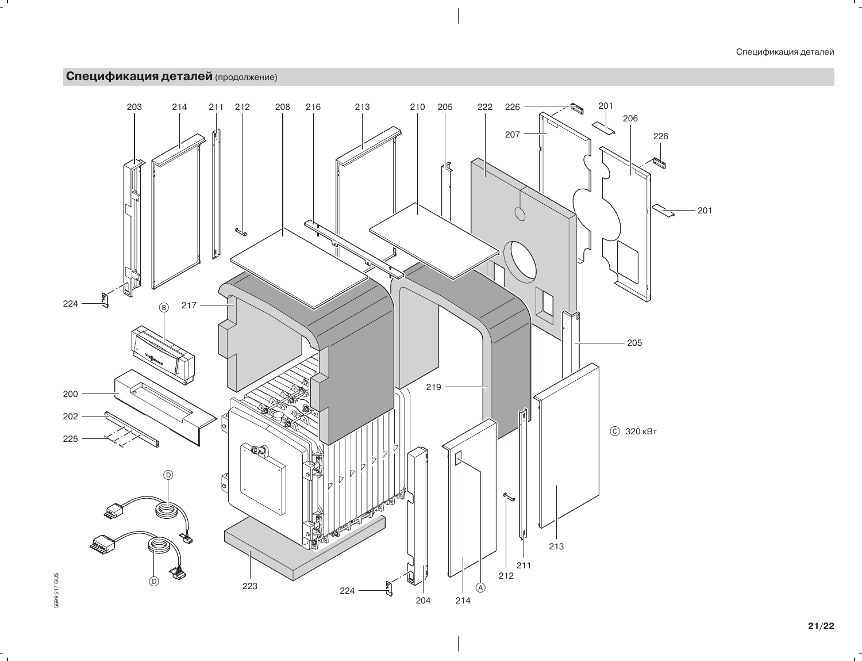

5699517 GUS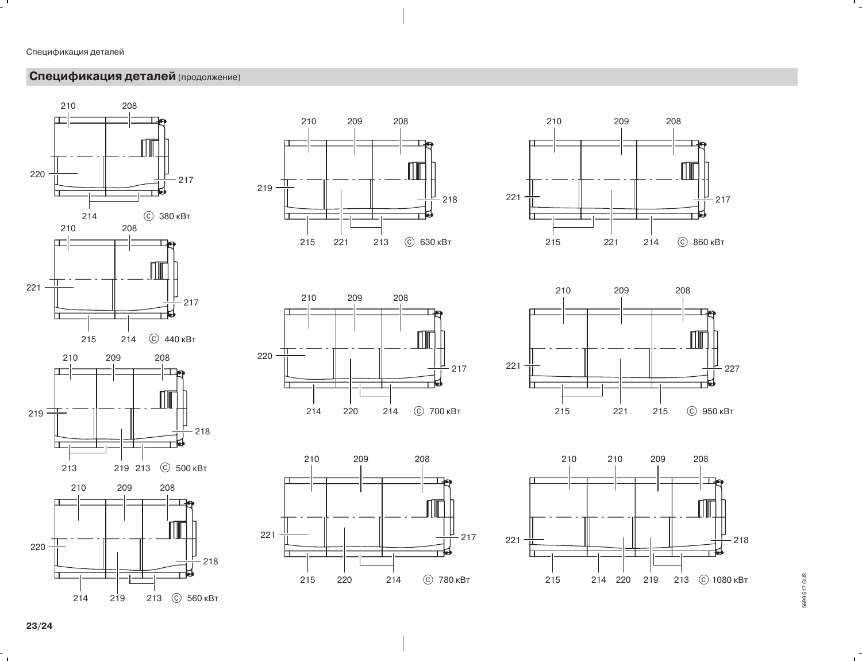













5699 517 GUS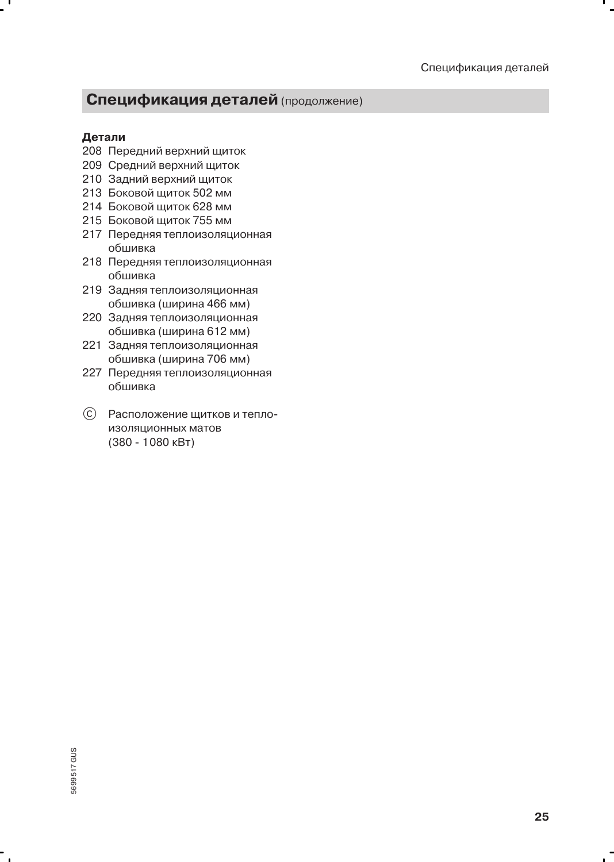#### Детали

-

- 208 Передний верхний шиток
- 209 Средний верхний щиток
- 210 Задний верхний щиток
- 213 Боковой щиток 502 мм
- 214 Боковой щиток 628 мм
- 215 Боковой шиток 755 мм
- 217 Передняя теплоизоляционная обшивка
- 218 Передняя теплоизоляционная обшивка
- 219 Задняя теплоизоляционная обшивка (ширина 466 мм)
- 220 Задняя теплоизоляционная обшивка (ширина 612 мм)
- 221 Задняя теплоизоляционная обшивка (ширина 706 мм)
- 227 Передняя теплоизоляционная обшивка
- (C) Расположение щитков и теплоизоляционных матов (380 - 1080 кВт)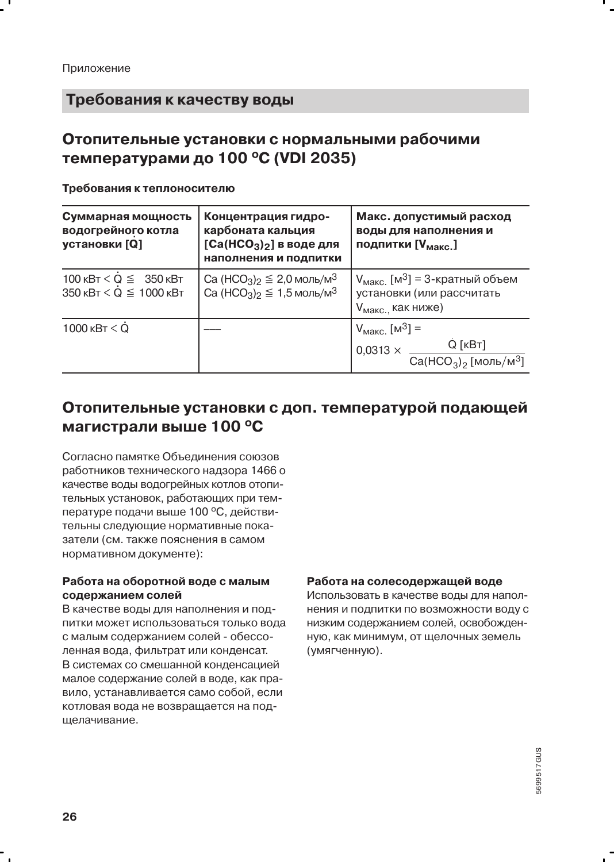### Требования к качеству воды

### Отопительные установки с нормальными рабочими температурами до 100 °С (VDI 2035)

|  | Требования к теплоносителю |
|--|----------------------------|
|--|----------------------------|

| Суммарная мощность<br>водогрейного котла<br><b>установки [Q]</b>             | Концентрация гидро-<br>карбоната кальция<br>$[Ca(HCO3)2]$ в воде для<br>наполнения и подпитки                                       | Макс. допустимый расход<br>воды для наполнения и<br>подпитки [V <sub>макс</sub> ]                                                    |
|------------------------------------------------------------------------------|-------------------------------------------------------------------------------------------------------------------------------------|--------------------------------------------------------------------------------------------------------------------------------------|
| $100 \text{ kBr} < Q \leq 350 \text{ kBr}$<br>$350$ KBT $\le Q \le 1000$ KBT | Са (HCO <sub>3</sub> ) <sub>2</sub> $\leq$ 2,0 моль/м <sup>3</sup><br>Са (НСО <sub>3</sub> ) <sub>2</sub> ≤ 1,5 моль/м <sup>3</sup> | $V_{\text{MARC.}}$ [м <sup>3</sup> ] = 3-кратный объем<br>установки (или рассчитать<br>V <sub>макс.</sub> , как ниже)                |
| $1000$ $\text{KBT} < \text{Q}$                                               |                                                                                                                                     | $V_{\text{MAKC}}$ . [M <sup>3</sup> ] =<br>Q [KBT]<br>$0,0313 \times$ —<br>Са(НСО <sub>3</sub> ) <sub>2</sub> [моль/м <sup>3</sup> ] |

### Отопительные установки с доп. температурой подающей магистрали выше 100 °С

Согласно памятке Объединения союзов работников технического надзора 1466 о качестве воды водогрейных котлов отопительных установок, работающих при температуре подачи выше 100 °С, действительны следующие нормативные показатели (см. также пояснения в самом нормативном документе):

#### Работа на оборотной воде с малым содержанием солей

В качестве воды для наполнения и подпитки может использоваться только вода с малым содержанием солей - обессоленная вода, фильтрат или конденсат. В системах со смешанной конденсацией малое содержание солей в воде, как правило, устанавливается само собой, если котловая вода не возвращается на подшелачивание.

#### Работа на солесодержащей воде

Использовать в качестве воды для наполнения и подпитки по возможности воду с низким содержанием солей, освобожденную, как минимум, от щелочных земель (умягченную).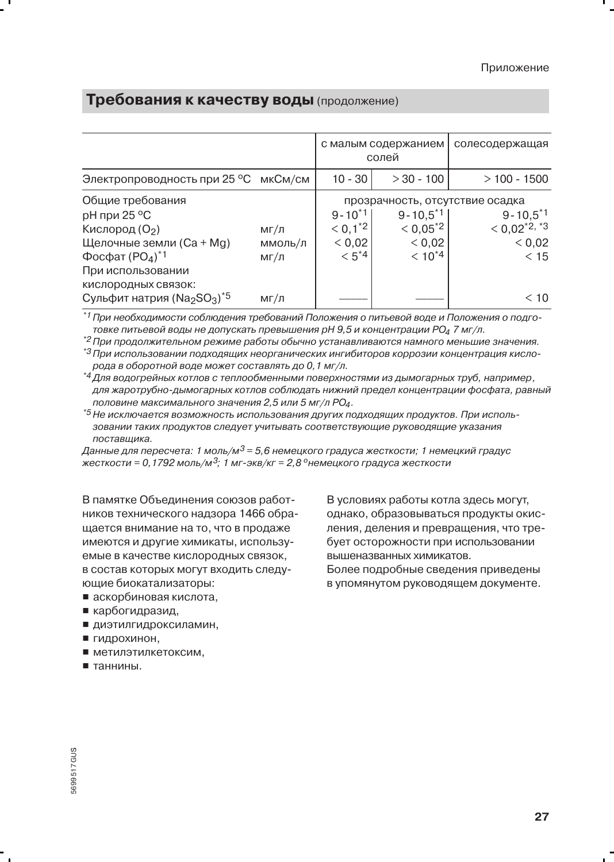|                                                                                                                                               |                         |                                                   | с малым содержанием<br>солей                                   | солесодержащая                                                                                        |
|-----------------------------------------------------------------------------------------------------------------------------------------------|-------------------------|---------------------------------------------------|----------------------------------------------------------------|-------------------------------------------------------------------------------------------------------|
| Электропроводность при 25 °С мкСм/см                                                                                                          |                         | $10 - 30$                                         | $> 30 - 100$                                                   | $>100 - 1500$                                                                                         |
| Общие требования<br>рН при 25 °С<br>Кислород (О2)<br>Щелочные земли (Ca + Mg)<br>Фосфат $(PO4)*1$<br>При использовании<br>кислородных связок: | мг/л<br>ммоль/л<br>мг/л | $9 - 10^{*1}$<br>$< 0, 1^*2$<br>< 0.02<br>$< 5*4$ | $9 - 10.5^{\ast}1$<br>$< 0.05^{\ast}2$<br>< 0.02<br>$< 10^{4}$ | прозрачность, отсутствие осадка<br>$9 - 10.5^{\ast}1$<br>$<$ 0,02 <sup>*2, *3</sup><br>< 0.02<br>< 15 |
| Сульфит натрия (Na <sub>2</sub> SO <sub>3</sub> ) <sup>*5</sup>                                                                               | мг/л                    |                                                   |                                                                | < 10                                                                                                  |

### Требования к качеству воды (продолжение)

\*<sup>1</sup> При необходимости соблюдения требований Положения о питьевой воде и Положения о подготовке питьевой воды не допускать превышения pH 9.5 и концентрации PO4 7 мг/л.

<sup>\*2</sup> При продолжительном режиме работы обычно устанавливаются намного меньшие значения.

\*<sup>3</sup> При использовании полхоляших неорганических ингибиторов коррозии концентрация кислорода в оборотной воде может составлять до 0,1 мг/л.

<sup>\*4</sup> Для водогрейных котлов с теплообменными поверхностями из дымогарных труб, например, для жаротрубно-дымогарных котлов соблюдать нижний предел концентрации фосфата, равный половине максимального значения 2.5 или 5 мг/л РО4.

\*<sup>5</sup>Не исключается возможность использования других подходящих продуктов. При использовании таких продуктов следует учитывать соответствующие руководящие указания поставшика.

Данные для пересчета: 1 моль/м<sup>3</sup> = 5,6 немецкого градуса жесткости; 1 немецкий градус жесткости = 0.1792 моль/м<sup>3</sup>: 1 мг-экв/кг = 2.8 ° немецкого градуса жесткости

В памятке Объединения союзов работников технического надзора 1466 обращается внимание на то, что в продаже имеются и другие химикаты, используемые в качестве кислородных связок, в состав которых могут входить следующие биокатализаторы:

- аскорбиновая кислота,
- карбогидразид,
- диэтилгидроксиламин,
- гидрохинон.
- метилэтилкетоксим.
- таннины.

В условиях работы котла здесь могут. однако, образовываться продукты окисления, деления и превращения, что требует осторожности при использовании вышеназванных химикатов.

Более подробные сведения приведены в упомянутом руководящем документе.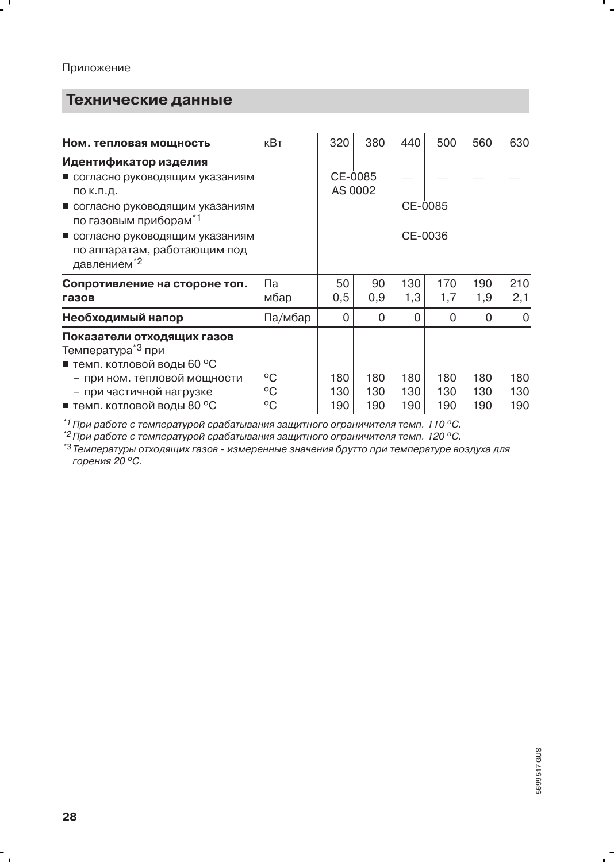#### Приложение

 $\overline{\phantom{a}}$ 

# Технические данные

| Ном. тепловая мощность           | кВт     | 320     | 380     | 440 | 500      | 560      | 630      |
|----------------------------------|---------|---------|---------|-----|----------|----------|----------|
| Идентификатор изделия            |         |         |         |     |          |          |          |
| ■ согласно руководящим указаниям |         |         | CE-0085 |     |          |          |          |
| по к.п.д.                        |         | AS 0002 |         |     |          |          |          |
| ■ согласно руководящим указаниям |         |         |         |     | CE-0085  |          |          |
| по газовым приборам*1            |         |         |         |     |          |          |          |
| ■ согласно руководящим указаниям |         |         |         |     | CE-0036  |          |          |
| по аппаратам, работающим под     |         |         |         |     |          |          |          |
| давлением*2                      |         |         |         |     |          |          |          |
| Сопротивление на стороне топ.    | Па      | 50      | 90      | 130 | 170      | 190      | 210      |
| газов                            | мбар    | 0,5     | 0.9     | 1,3 | 1,7      | 1,9      | 2,1      |
| Необходимый напор                | Па/мбар | 0       | 0       | 0   | $\Omega$ | $\Omega$ | $\Omega$ |
| Показатели отходящих газов       |         |         |         |     |          |          |          |
| Температура <sup>*3</sup> при    |         |         |         |     |          |          |          |
| ■ темп. котловой воды 60 °С      |         |         |         |     |          |          |          |
| - при ном. тепловой мощности     | °C      | 180     | 180     | 180 | 180      | 180      | 180      |
| – при частичной нагрузке         | °C      | 130     | 130     | 130 | 130      | 130      | 130      |
| ■ темп. котловой воды 80 °С      | °C      | 190     | 190     | 190 | 190      | 190      | 190      |

\*1 При работе с температурой срабатывания защитного ограничителя темп. 110 °C.<br>\*2 При работе с температурой срабатывания защитного ограничителя темп. 120 °C.<br>\*3 Температуры отходящих газов - измеренные значения брутто при горения 20 °С.

H.

۰.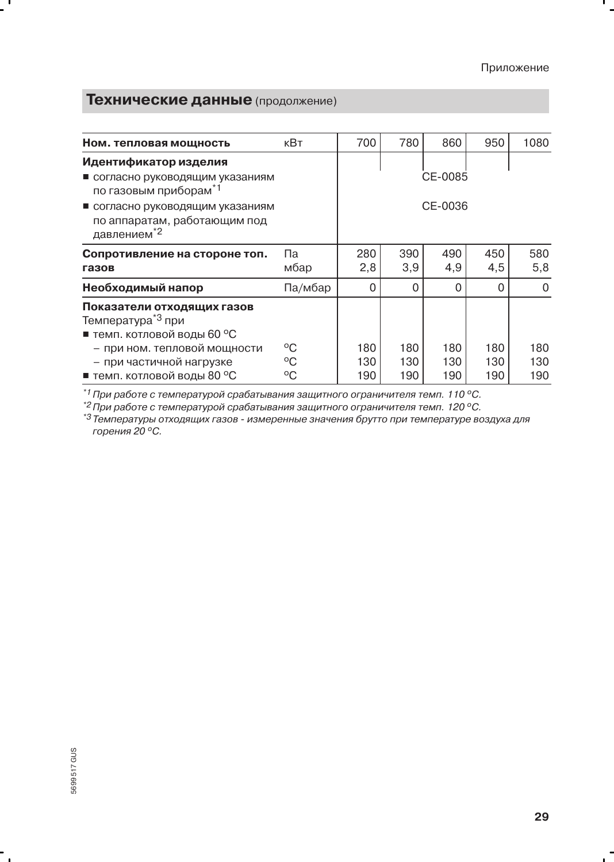H.

## Технические данные (продолжение)

| Ном. тепловая мощность                                                                      | кВт        | 700        | 780        | 860        | 950        | 1080       |
|---------------------------------------------------------------------------------------------|------------|------------|------------|------------|------------|------------|
| Идентификатор изделия                                                                       |            |            |            |            |            |            |
| ■ согласно руководящим указаниям<br>по газовым приборам*1                                   |            |            |            | CE-0085    |            |            |
| ■ согласно руководящим указаниям<br>по аппаратам, работающим под<br>давлением <sup>*2</sup> |            |            |            | CE-0036    |            |            |
| Сопротивление на стороне топ.<br>газов                                                      | Па<br>мбар | 280<br>2,8 | 390<br>3,9 | 490<br>4,9 | 450<br>4,5 | 580<br>5,8 |
| Необходимый напор                                                                           | Па/мбар    | $\Omega$   | $\Omega$   | $\Omega$   | $\Omega$   | $\Omega$   |
| Показатели отходящих газов<br>Температура <sup>*3</sup> при<br>■ темп. котловой воды 60 °С  |            |            |            |            |            |            |
| - при ном. тепловой мощности                                                                | °C         | 180        | 180        | 180        | 180        | 180        |
| – при частичной нагрузке                                                                    | °C         | 130        | 130        | 130        | 130        | 130        |
| ■ темп. котловой воды 80 °С                                                                 | °C         | 190        | 190        | 190        | 190        | 190        |

-<br><sup>-1</sup> При работе с температурой срабатывания защитного ограничителя темп. 110 °C.<br><sup>-2</sup> При работе с температурой срабатывания защитного ограничителя темп. 120 °C.

"При расото о толиторатурой орасственный садитного отретительно стать тем - - - - - - - - - - - - - - - - - -<br>"3 Температуры отходящих газов - измеренные значения брутто при температуре воздуха для горения 20 °С.

 $\sim$ 

 $\overline{ }$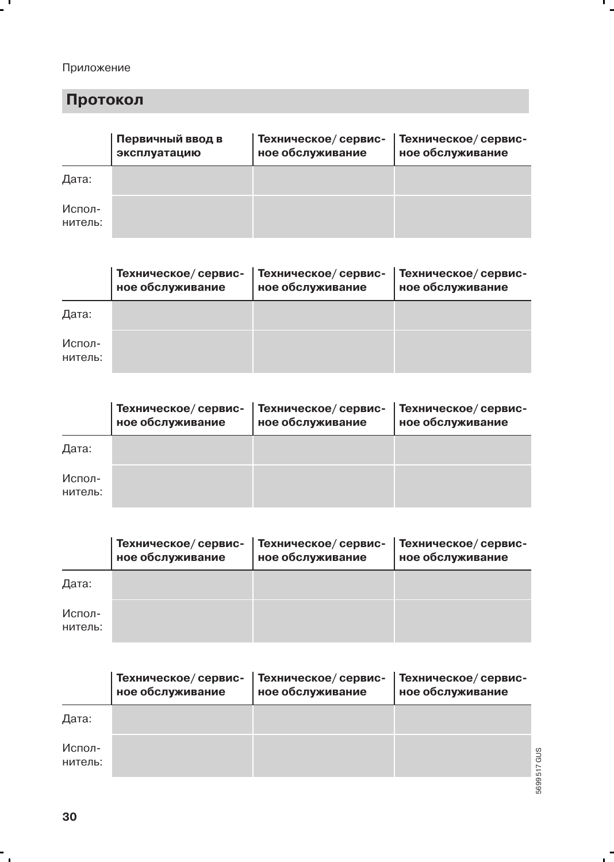### Приложение

 $\overline{a}$ 

# Протокол

|                   | Первичный ввод в<br>эксплуатацию | Техническое/ сервис-<br>ное обслуживание | Техническое/сервис-<br>ное обслуживание |
|-------------------|----------------------------------|------------------------------------------|-----------------------------------------|
| Дата:             |                                  |                                          |                                         |
| Испол-<br>нитель: |                                  |                                          |                                         |

|                   | Техническое/ сервис-<br>ное обслуживание | Техническое/ сервис-<br>ное обслуживание | Техническое/сервис-<br>ное обслуживание |
|-------------------|------------------------------------------|------------------------------------------|-----------------------------------------|
| Дата:             |                                          |                                          |                                         |
| Испол-<br>нитель: |                                          |                                          |                                         |

|                   | Техническое/ сервис-<br>ное обслуживание | Техническое/ сервис-<br>ное обслуживание | Техническое/сервис-<br>ное обслуживание |
|-------------------|------------------------------------------|------------------------------------------|-----------------------------------------|
| Дата:             |                                          |                                          |                                         |
| Испол-<br>нитель: |                                          |                                          |                                         |

|                   | Техническое/ сервис-<br>ное обслуживание | Техническое/ сервис-<br>ное обслуживание | Техническое/сервис-<br>ное обслуживание |
|-------------------|------------------------------------------|------------------------------------------|-----------------------------------------|
| Дата:             |                                          |                                          |                                         |
| Испол-<br>нитель: |                                          |                                          |                                         |

|                   | Техническое/ сервис-<br>ное обслуживание | Техническое/ сервис-<br>ное обслуживание | Техническое/сервис-<br>ное обслуживание |
|-------------------|------------------------------------------|------------------------------------------|-----------------------------------------|
| Дата:             |                                          |                                          |                                         |
| Испол-<br>нитель: |                                          |                                          |                                         |

5699517 GUS

л.

۰.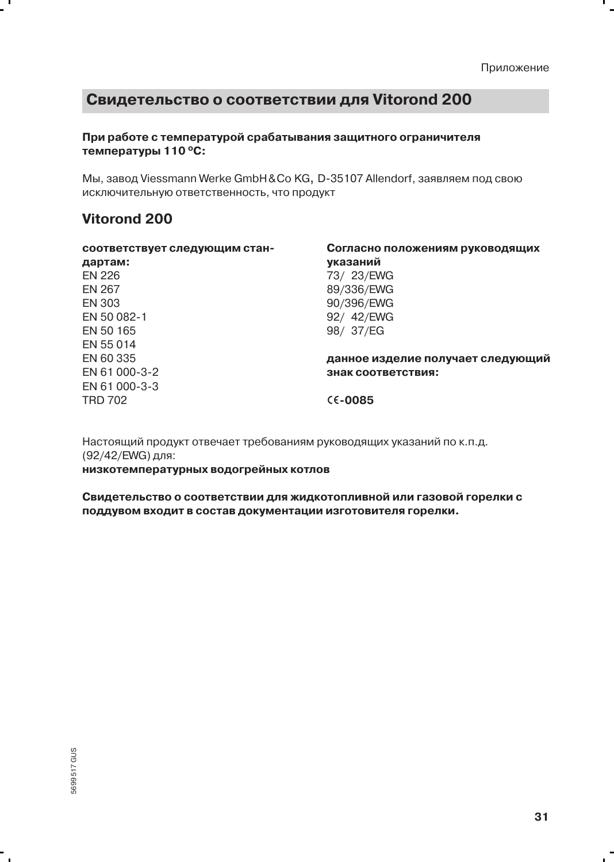# Свидетельство о соответствии для Vitorond 200

#### При работе с температурой срабатывания защитного ограничителя температуры 110 °С:

Мы, завод Viessmann Werke GmbH&Co KG, D-35107 Allendorf, заявляем под свою исключительную ответственность, что продукт

### Vitorond 200

- 1

| соответствует следующим стан- | Согласно положениям руководящих   |  |
|-------------------------------|-----------------------------------|--|
| дартам:                       | указаний                          |  |
| EN 226                        | 73/23/EWG                         |  |
| EN 267                        | 89/336/EWG                        |  |
| EN 303                        | 90/396/EWG                        |  |
| EN 50 082-1                   | 92/ 42/EWG                        |  |
| EN 50 165                     | 98/ 37/EG                         |  |
| EN 55 014                     |                                   |  |
| EN 60 335                     | данное изделие получает следующий |  |
| EN 61 000-3-2                 | знак соответствия:                |  |
| EN 61 000-3-3                 |                                   |  |
| <b>TRD 702</b>                | $Cef-0085$                        |  |
|                               |                                   |  |

Настоящий продукт отвечает требованиям руководящих указаний по к.п.д. (92/42/EWG) для:

низкотемпературных водогрейных котлов

Свидетельство о соответствии для жидкотопливной или газовой горелки с поддувом входит в состав документации изготовителя горелки.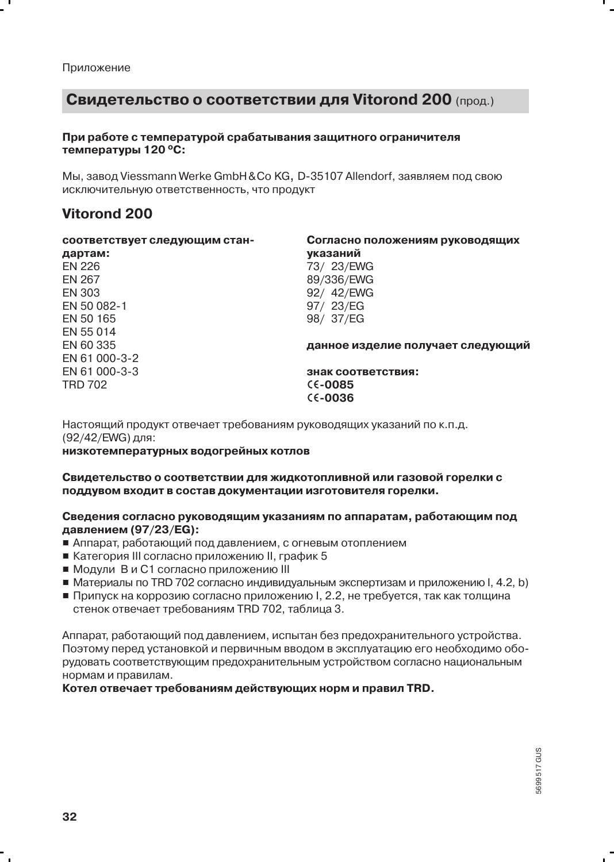### Свидетельство о соответствии для Vitorond 200 (прод.)

#### При работе с температурой срабатывания защитного ограничителя температуры 120 °C:

Мы, завод Viessmann Werke GmbH&Co KG, D-35107 Allendorf, заявляем под свою ИСКЛЮЧИТЕЛЬНУЮ ОТВЕТСТВЕННОСТЬ, ЧТО ПООДУКТ

### Vitorond 200

| соответствует следующим стан- | Согласно положениям руководящих   |  |
|-------------------------------|-----------------------------------|--|
| дартам:                       | указаний                          |  |
| <b>EN 226</b>                 | 73/23/EWG                         |  |
| EN 267                        | 89/336/EWG                        |  |
| EN 303                        | 92/ 42/EWG                        |  |
| EN 50 082-1                   | 97/ 23/EG                         |  |
| EN 50 165                     | 98/ 37/EG                         |  |
| EN 55 014                     |                                   |  |
| EN 60 335                     | данное изделие получает следующий |  |
| EN 61 000-3-2                 |                                   |  |
| EN 61 000-3-3                 | знак соответствия:                |  |
| <b>TRD 702</b>                | $C(-0085$                         |  |
|                               | $Cef-0036$                        |  |
|                               |                                   |  |

Настоящий продукт отвечает требованиям руководящих указаний по к.п.д. (92/42/EWG) для: низкотемпературных водогрейных котлов

#### Свидетельство о соответствии для жидкотопливной или газовой горелки с поддувом входит в состав документации изготовителя горелки.

#### Сведения согласно руководящим указаниям по аппаратам, работающим под давлением (97/23/EG):

- Аппарат, работающий под давлением, с огневым отоплением
- Категория III согласно приложению II, график 5
- Модули В и С1 согласно приложению III
- $\blacksquare$  Материалы по TRD 702 согласно индивидуальным экспертизам и приложению I, 4.2, b)
- Припуск на коррозию согласно приложению I, 2.2, не требуется, так как толщина стенок отвечает требованиям TRD 702, таблица 3.

Аппарат, работающий под давлением, испытан без предохранительного устройства. Поэтому перед установкой и первичным вводом в эксплуатацию его необходимо оборудовать соответствующим предохранительным устройством согласно национальным нормам и правилам.

Котел отвечает требованиям действующих норм и правил TRD.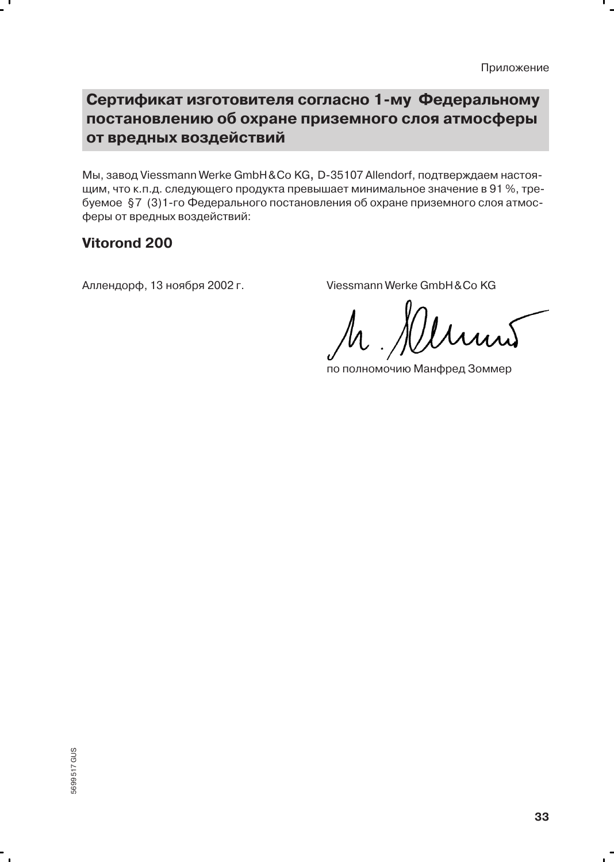# Сертификат изготовителя согласно 1-му Федеральному постановлению об охране приземного слоя атмосферы от вредных воздействий

Мы, завод Viessmann Werke GmbH & Co KG, D-35107 Allendorf, подтверждаем настоящим, что к.п.д. следующего продукта превышает минимальное значение в 91 %, требуемое §7 (3)1-го Федерального постановления об охране приземного слоя атмосферы от вредных воздействий:

### Vitorond 200

-

Аллендорф. 13 ноября 2002 г.

Viessmann Werke GmbH & Co KG

по полномочию Манфред Зоммер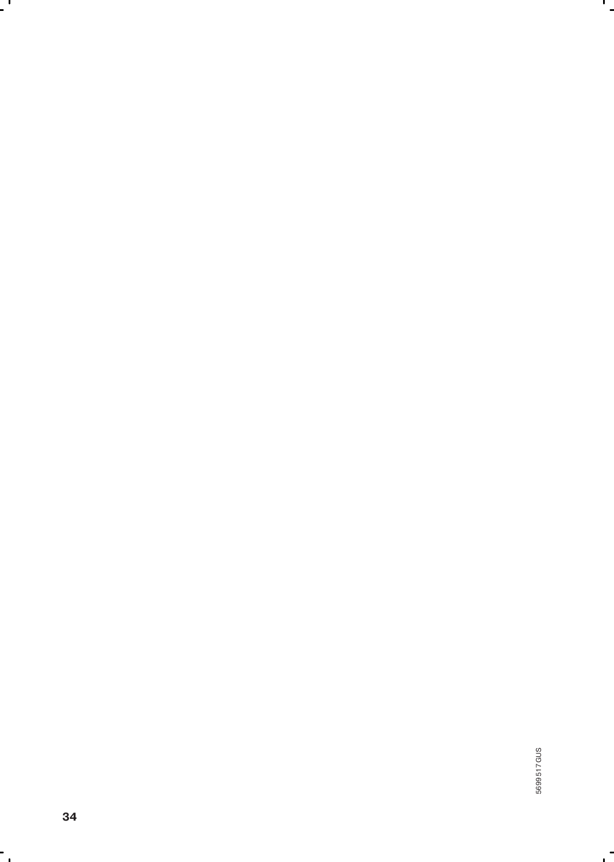5699 517 GUS

 $\mathbf{L}$ 

۰.

 $\overline{a}$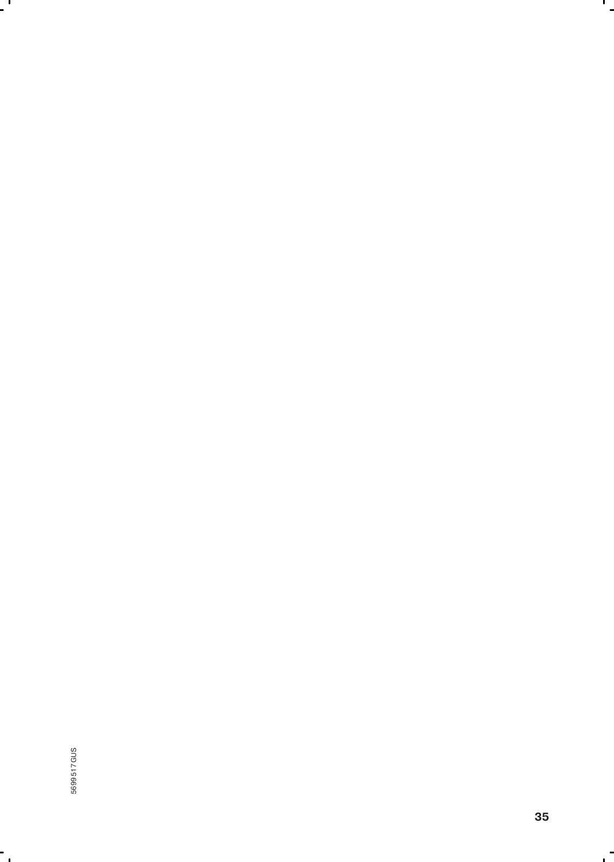5699517 GUS

۰.

 $\overline{a}$ 

Ĭ.

л.